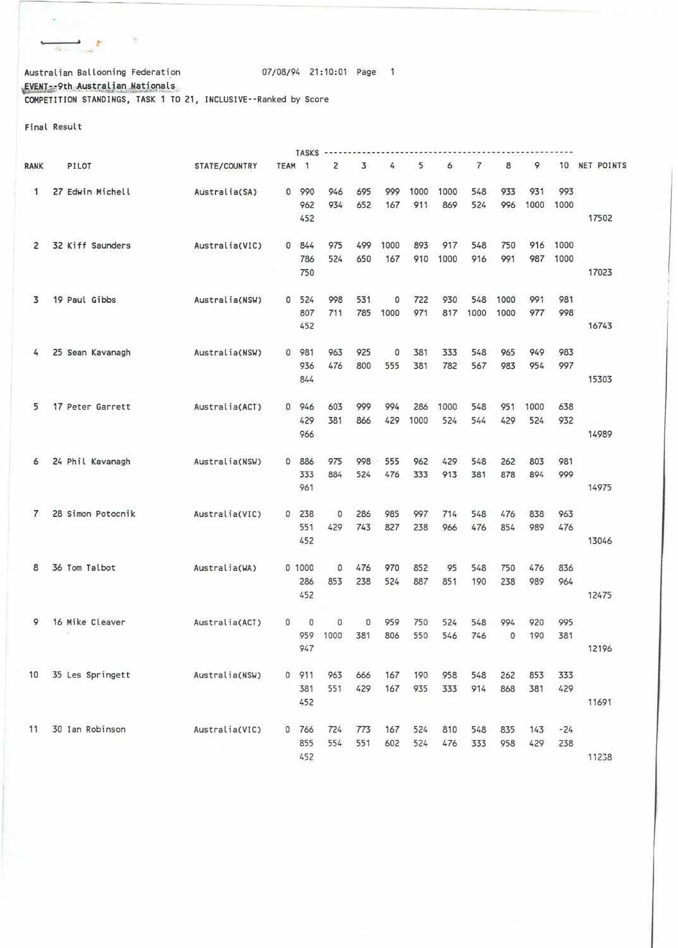Australian Ballooning Federation 107/08/94 21:10:01 Page 1  $\frac{EVEN - 9th$  . Australian .Nationals COMPETITION STANDINGS, TASK 1 TO 21, JNCLUSJVE--Ranked by Score

Final Result

 $\mathbb{R}^n$ 

\* \* \* \*

|      |                   |                          |                   |        | <b>TASKS -------</b> |     |      |      |      |      |              |      |       |            |
|------|-------------------|--------------------------|-------------------|--------|----------------------|-----|------|------|------|------|--------------|------|-------|------------|
| RANK | PILOT             | STATE/COUNTRY            | TEAM <sub>1</sub> |        | $\overline{2}$       | 3   | 4    | 5    | 6    | 7    | 8            | 9    | 10    | NET POINTS |
| 1    | 27 Edwin Michell  | Australia(SA)            | $\mathbf{0}$      | 990    | 946                  | 695 | 999  | 1000 | 1000 | 548  | 933          | 931  | 993   |            |
|      |                   |                          |                   | 962    | 934                  | 652 | 167  | 911  | 869  | 524  | 996          | 1000 | 1000  |            |
|      |                   |                          |                   | 452    |                      |     |      |      |      |      |              |      |       | 17502      |
|      |                   |                          |                   |        |                      |     |      |      |      |      |              |      |       |            |
| 2    | 32 Kiff Saunders  | Australia(VIC)           |                   | 0 844  | 975                  | 499 | 1000 | 893  | 917  | 548  | 750          | 916  | 1000  |            |
|      |                   |                          |                   | 786    | 524                  | 650 | 167  | 910  | 1000 | 916  | 991          | 987  | 1000  |            |
|      |                   |                          |                   | 750    |                      |     |      |      |      |      |              |      |       | 17023      |
|      |                   |                          |                   |        |                      |     |      |      |      |      |              |      |       |            |
| 3    | 19 Paul Gibbs     | Australia(NSW)           | $\mathbf{0}$      | 524    | 998                  | 531 | 0    | 722  | 930  | 548  | 1000         | 991  | 981   |            |
|      |                   |                          |                   | 807    | 711                  | 785 | 1000 | 971  | 817  | 1000 | 1000         | 977  | 998   |            |
|      |                   |                          |                   | 452    |                      |     |      |      |      |      |              |      |       | 16743      |
|      |                   |                          |                   |        |                      |     |      |      |      |      |              |      |       |            |
| 4    | 25 Sean Kavanagh  | Australia(NSW)           | 0                 | 981    | 963                  | 925 | 0    | 381  | 333  | 548  | 965          | 949  | 983   |            |
|      |                   |                          |                   | 936    | 476                  | 800 | 555  | 381  | 782  | 567  | 983          | 954  | 997   |            |
|      |                   |                          |                   | 844    |                      |     |      |      |      |      |              |      |       | 15303      |
|      |                   |                          |                   |        |                      |     |      |      |      |      |              |      |       |            |
| 5    | 17 Peter Garrett  | Australia(ACT)           |                   | 0 946  | 603                  | 999 | 994  | 286  | 1000 | 548  | 951          | 1000 | 638   |            |
|      |                   |                          |                   | 429    | 381                  | 866 | 429  | 1000 | 524  | 544  | 429          | 524  | 932   | $\sim$     |
|      |                   |                          |                   | 966    |                      |     |      |      |      |      |              |      |       | 14989      |
|      |                   |                          |                   |        |                      |     |      |      |      |      |              |      |       |            |
| 6    | 24 Phil Kavanagh  | Australia(NSW)           |                   | 0 886  | 975                  | 998 | 555  | 962  | 429  | 548  | 262          | 803  | 981   |            |
|      |                   |                          |                   | 333    | 884                  | 524 | 476  | 333  | 913  | 381  | 878          | 894  | 999   |            |
|      |                   |                          |                   | 961    |                      |     |      |      |      |      |              |      |       | 14975      |
|      |                   |                          |                   |        |                      |     |      |      |      |      |              |      |       |            |
| 7    | 28 Simon Potocnik | Australia(VIC)           | 0                 | 238    | 0                    | 286 | 985  | 997  | 714  | 548  | 476          | 838  | 963   |            |
|      |                   |                          |                   | 551    | 429                  | 743 | 827  | 238  | 966  | 476  | 854          | 989  | 476   |            |
|      |                   |                          |                   | 452    |                      |     |      |      |      |      |              |      |       | 13046      |
|      |                   |                          |                   |        |                      |     |      |      |      |      |              |      |       |            |
| 8    | 36 Tom Talbot     | Australia(WA)            |                   | 0 1000 | 0                    | 476 | 970  | 852  | 95   | 548  | 750          | 476  | 836   |            |
|      |                   |                          |                   | 286    | 853                  | 238 | 524  | 887  | 851  | 190  | 238          | 989  | 964   |            |
|      |                   |                          |                   | 452    |                      |     |      |      |      |      |              |      |       | 12475      |
|      |                   |                          |                   |        |                      |     |      |      |      |      |              |      |       |            |
| 9    | 16 Mike Cleaver   | Australia(ACT)           | $\mathbf{0}$      | 0      | 0                    | 0   | 959  | 750  | 524  | 548  | 994          | 920  | 995   |            |
|      |                   |                          |                   | 959    | 1000                 | 381 | 806  | 550  | 546  | 746  | $\mathbf{0}$ | 190  | 381   |            |
|      |                   |                          |                   | 947    |                      |     |      |      |      |      |              |      |       | 12196      |
|      |                   |                          |                   |        |                      |     |      |      |      |      |              |      |       |            |
| 10   | 35 Les Springett  | Australia(NSW)           |                   | 0 911  | 963                  | 666 | 167  | 190  | 958  | 548  | 262          | 853  | 333   |            |
|      |                   |                          |                   | 381    | 551                  | 429 | 167  | 935  | 333  | 914  | 868          | 381  | 429   |            |
|      |                   |                          |                   | 452    |                      |     |      |      |      |      |              |      |       | 11691      |
|      |                   |                          |                   |        |                      |     |      |      |      |      |              |      |       |            |
| 11   | 30 Ian Robinson   | Australia(VIC)           |                   | 0 766  | 724                  | 773 | 167  | 524  | 810  | 548  | 835          | 143  | $-24$ |            |
|      |                   |                          |                   | 855    | 554                  | 551 | 602  | 524  | 476  | 333  | 958          | 429  | 238   |            |
|      |                   | $\overline{\mathcal{R}}$ |                   |        |                      |     |      |      |      |      |              |      |       |            |
|      |                   |                          |                   | 452    |                      |     |      |      |      |      |              |      |       | 11238      |